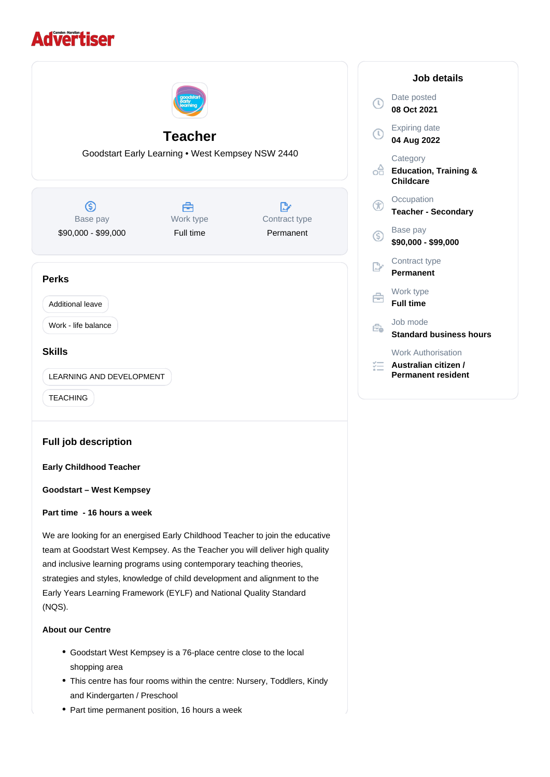# **Advertiser**



- Goodstart West Kempsey is a 76-place centre close to the local shopping area
- This centre has four rooms within the centre: Nursery, Toddlers, Kindy and Kindergarten / Preschool
- Part time permanent position, 16 hours a week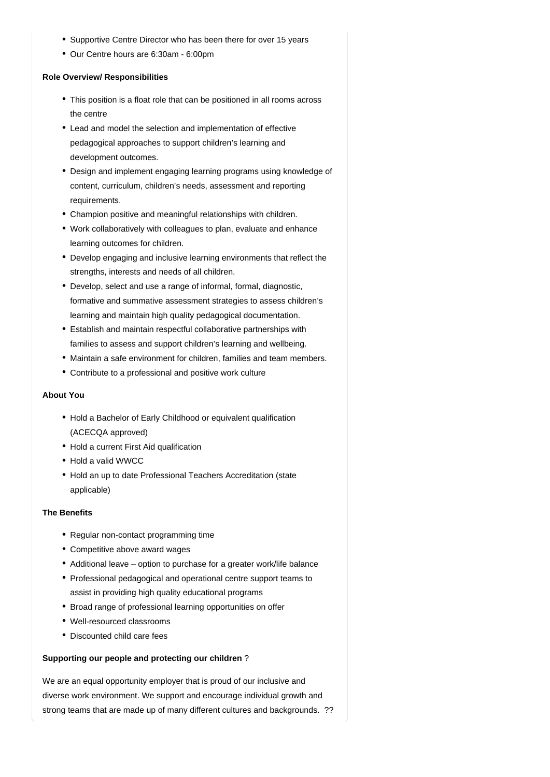- Supportive Centre Director who has been there for over 15 years
- Our Centre hours are 6:30am 6:00pm

### **Role Overview/ Responsibilities**

- This position is a float role that can be positioned in all rooms across the centre
- Lead and model the selection and implementation of effective pedagogical approaches to support children's learning and development outcomes.
- Design and implement engaging learning programs using knowledge of content, curriculum, children's needs, assessment and reporting requirements.
- Champion positive and meaningful relationships with children.
- Work collaboratively with colleagues to plan, evaluate and enhance learning outcomes for children.
- Develop engaging and inclusive learning environments that reflect the strengths, interests and needs of all children.
- Develop, select and use a range of informal, formal, diagnostic, formative and summative assessment strategies to assess children's learning and maintain high quality pedagogical documentation.
- Establish and maintain respectful collaborative partnerships with families to assess and support children's learning and wellbeing.
- Maintain a safe environment for children, families and team members.
- Contribute to a professional and positive work culture

## **About You**

- Hold a Bachelor of Early Childhood or equivalent qualification (ACECQA approved)
- Hold a current First Aid qualification
- Hold a valid WWCC
- Hold an up to date Professional Teachers Accreditation (state applicable)

## **The Benefits**

- Regular non-contact programming time
- Competitive above award wages
- Additional leave option to purchase for a greater work/life balance
- Professional pedagogical and operational centre support teams to assist in providing high quality educational programs
- Broad range of professional learning opportunities on offer
- Well-resourced classrooms
- Discounted child care fees

## **Supporting our people and protecting our children** ?

We are an equal opportunity employer that is proud of our inclusive and diverse work environment. We support and encourage individual growth and strong teams that are made up of many different cultures and backgrounds. ??